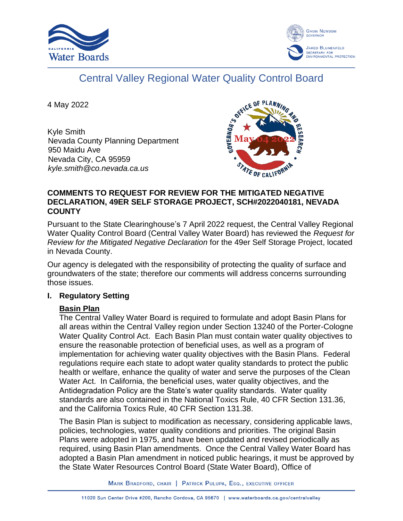



# Central Valley Regional Water Quality Control Board

4 May 2022

Kyle Smith Nevada County Planning Department 950 Maidu Ave Nevada City, CA 95959 *kyle.smith@co.nevada.ca.us*



# **COMMENTS TO REQUEST FOR REVIEW FOR THE MITIGATED NEGATIVE DECLARATION, 49ER SELF STORAGE PROJECT, SCH#2022040181, NEVADA COUNTY**

Pursuant to the State Clearinghouse's 7 April 2022 request, the Central Valley Regional Water Quality Control Board (Central Valley Water Board) has reviewed the *Request for Review for the Mitigated Negative Declaration* for the 49er Self Storage Project, located in Nevada County.

Our agency is delegated with the responsibility of protecting the quality of surface and groundwaters of the state; therefore our comments will address concerns surrounding those issues.

# **I. Regulatory Setting**

# **Basin Plan**

The Central Valley Water Board is required to formulate and adopt Basin Plans for all areas within the Central Valley region under Section 13240 of the Porter-Cologne Water Quality Control Act. Each Basin Plan must contain water quality objectives to ensure the reasonable protection of beneficial uses, as well as a program of implementation for achieving water quality objectives with the Basin Plans. Federal regulations require each state to adopt water quality standards to protect the public health or welfare, enhance the quality of water and serve the purposes of the Clean Water Act. In California, the beneficial uses, water quality objectives, and the Antidegradation Policy are the State's water quality standards. Water quality standards are also contained in the National Toxics Rule, 40 CFR Section 131.36, and the California Toxics Rule, 40 CFR Section 131.38.

The Basin Plan is subject to modification as necessary, considering applicable laws, policies, technologies, water quality conditions and priorities. The original Basin Plans were adopted in 1975, and have been updated and revised periodically as required, using Basin Plan amendments. Once the Central Valley Water Board has adopted a Basin Plan amendment in noticed public hearings, it must be approved by the State Water Resources Control Board (State Water Board), Office of

MARK BRADFORD, CHAIR | PATRICK PULUPA, ESQ., EXECUTIVE OFFICER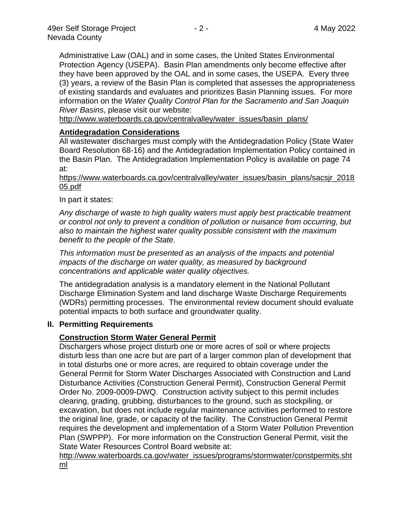Administrative Law (OAL) and in some cases, the United States Environmental Protection Agency (USEPA). Basin Plan amendments only become effective after they have been approved by the OAL and in some cases, the USEPA. Every three (3) years, a review of the Basin Plan is completed that assesses the appropriateness of existing standards and evaluates and prioritizes Basin Planning issues. For more information on the *Water Quality Control Plan for the Sacramento and San Joaquin River Basins*, please visit our website:

[http://www.waterboards.ca.gov/centralvalley/water\\_issues/basin\\_plans/](http://www.waterboards.ca.gov/centralvalley/water_issues/basin_plans/)

# **Antidegradation Considerations**

All wastewater discharges must comply with the Antidegradation Policy (State Water Board Resolution 68-16) and the Antidegradation Implementation Policy contained in the Basin Plan. The Antidegradation Implementation Policy is available on page 74 at:

https://www.waterboards.ca.gov/centralvalley/water\_issues/basin\_plans/sacsjr\_2018 05.pdf

In part it states:

*Any discharge of waste to high quality waters must apply best practicable treatment or control not only to prevent a condition of pollution or nuisance from occurring, but also to maintain the highest water quality possible consistent with the maximum benefit to the people of the State.*

*This information must be presented as an analysis of the impacts and potential impacts of the discharge on water quality, as measured by background concentrations and applicable water quality objectives.*

The antidegradation analysis is a mandatory element in the National Pollutant Discharge Elimination System and land discharge Waste Discharge Requirements (WDRs) permitting processes. The environmental review document should evaluate potential impacts to both surface and groundwater quality.

# **II. Permitting Requirements**

# **Construction Storm Water General Permit**

Dischargers whose project disturb one or more acres of soil or where projects disturb less than one acre but are part of a larger common plan of development that in total disturbs one or more acres, are required to obtain coverage under the General Permit for Storm Water Discharges Associated with Construction and Land Disturbance Activities (Construction General Permit), Construction General Permit Order No. 2009-0009-DWQ. Construction activity subject to this permit includes clearing, grading, grubbing, disturbances to the ground, such as stockpiling, or excavation, but does not include regular maintenance activities performed to restore the original line, grade, or capacity of the facility. The Construction General Permit requires the development and implementation of a Storm Water Pollution Prevention Plan (SWPPP). For more information on the Construction General Permit, visit the State Water Resources Control Board website at:

[http://www.waterboards.ca.gov/water\\_issues/programs/stormwater/constpermits.sht](http://www.waterboards.ca.gov/water_issues/programs/stormwater/constpermits.shtml) [ml](http://www.waterboards.ca.gov/water_issues/programs/stormwater/constpermits.shtml)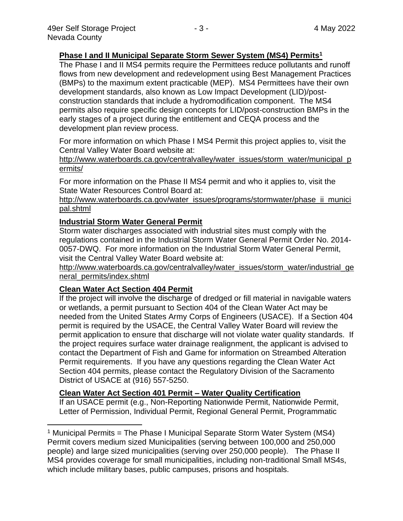# **Phase I and II Municipal Separate Storm Sewer System (MS4) Permits<sup>1</sup>**

The Phase I and II MS4 permits require the Permittees reduce pollutants and runoff flows from new development and redevelopment using Best Management Practices (BMPs) to the maximum extent practicable (MEP). MS4 Permittees have their own development standards, also known as Low Impact Development (LID)/postconstruction standards that include a hydromodification component. The MS4 permits also require specific design concepts for LID/post-construction BMPs in the early stages of a project during the entitlement and CEQA process and the development plan review process.

For more information on which Phase I MS4 Permit this project applies to, visit the Central Valley Water Board website at:

http://www.waterboards.ca.gov/centralvalley/water\_issues/storm\_water/municipal\_p ermits/

For more information on the Phase II MS4 permit and who it applies to, visit the State Water Resources Control Board at:

http://www.waterboards.ca.gov/water\_issues/programs/stormwater/phase\_ii\_munici pal.shtml

#### **Industrial Storm Water General Permit**

Storm water discharges associated with industrial sites must comply with the regulations contained in the Industrial Storm Water General Permit Order No. 2014- 0057-DWQ. For more information on the Industrial Storm Water General Permit, visit the Central Valley Water Board website at:

http://www.waterboards.ca.gov/centralvalley/water\_issues/storm\_water/industrial\_ge neral\_permits/index.shtml

# **Clean Water Act Section 404 Permit**

If the project will involve the discharge of dredged or fill material in navigable waters or wetlands, a permit pursuant to Section 404 of the Clean Water Act may be needed from the United States Army Corps of Engineers (USACE). If a Section 404 permit is required by the USACE, the Central Valley Water Board will review the permit application to ensure that discharge will not violate water quality standards. If the project requires surface water drainage realignment, the applicant is advised to contact the Department of Fish and Game for information on Streambed Alteration Permit requirements. If you have any questions regarding the Clean Water Act Section 404 permits, please contact the Regulatory Division of the Sacramento District of USACE at (916) 557-5250.

# **Clean Water Act Section 401 Permit – Water Quality Certification**

If an USACE permit (e.g., Non-Reporting Nationwide Permit, Nationwide Permit, Letter of Permission, Individual Permit, Regional General Permit, Programmatic

<sup>&</sup>lt;sup>1</sup> Municipal Permits = The Phase I Municipal Separate Storm Water System (MS4) Permit covers medium sized Municipalities (serving between 100,000 and 250,000 people) and large sized municipalities (serving over 250,000 people). The Phase II MS4 provides coverage for small municipalities, including non-traditional Small MS4s, which include military bases, public campuses, prisons and hospitals.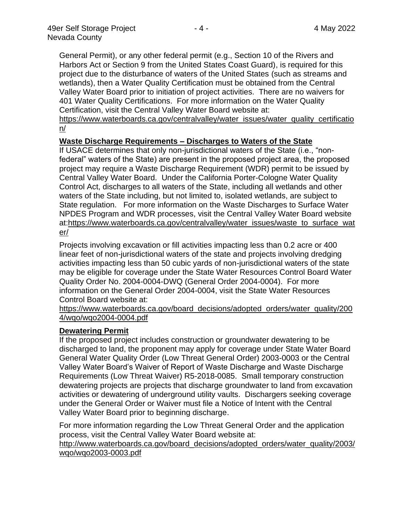General Permit), or any other federal permit (e.g., Section 10 of the Rivers and Harbors Act or Section 9 from the United States Coast Guard), is required for this project due to the disturbance of waters of the United States (such as streams and wetlands), then a Water Quality Certification must be obtained from the Central Valley Water Board prior to initiation of project activities. There are no waivers for 401 Water Quality Certifications. For more information on the Water Quality Certification, visit the Central Valley Water Board website at:

https://www.waterboards.ca.gov/centralvalley/water\_issues/water\_quality\_certificatio n/

#### **Waste Discharge Requirements – Discharges to Waters of the State**

If USACE determines that only non-jurisdictional waters of the State (i.e., "nonfederal" waters of the State) are present in the proposed project area, the proposed project may require a Waste Discharge Requirement (WDR) permit to be issued by Central Valley Water Board. Under the California Porter-Cologne Water Quality Control Act, discharges to all waters of the State, including all wetlands and other waters of the State including, but not limited to, isolated wetlands, are subject to State regulation. For more information on the Waste Discharges to Surface Water NPDES Program and WDR processes, visit the Central Valley Water Board website at:https://www.waterboards.ca.gov/centralvalley/water\_issues/waste\_to\_surface\_wat er/

Projects involving excavation or fill activities impacting less than 0.2 acre or 400 linear feet of non-jurisdictional waters of the state and projects involving dredging activities impacting less than 50 cubic yards of non-jurisdictional waters of the state may be eligible for coverage under the State Water Resources Control Board Water Quality Order No. 2004-0004-DWQ (General Order 2004-0004). For more information on the General Order 2004-0004, visit the State Water Resources Control Board website at:

https://www.waterboards.ca.gov/board\_decisions/adopted\_orders/water\_quality/200 4/wqo/wqo2004-0004.pdf

#### **Dewatering Permit**

If the proposed project includes construction or groundwater dewatering to be discharged to land, the proponent may apply for coverage under State Water Board General Water Quality Order (Low Threat General Order) 2003-0003 or the Central Valley Water Board's Waiver of Report of Waste Discharge and Waste Discharge Requirements (Low Threat Waiver) R5-2018-0085. Small temporary construction dewatering projects are projects that discharge groundwater to land from excavation activities or dewatering of underground utility vaults. Dischargers seeking coverage under the General Order or Waiver must file a Notice of Intent with the Central Valley Water Board prior to beginning discharge.

For more information regarding the Low Threat General Order and the application process, visit the Central Valley Water Board website at:

http://www.waterboards.ca.gov/board\_decisions/adopted\_orders/water\_quality/2003/ wqo/wqo2003-0003.pdf